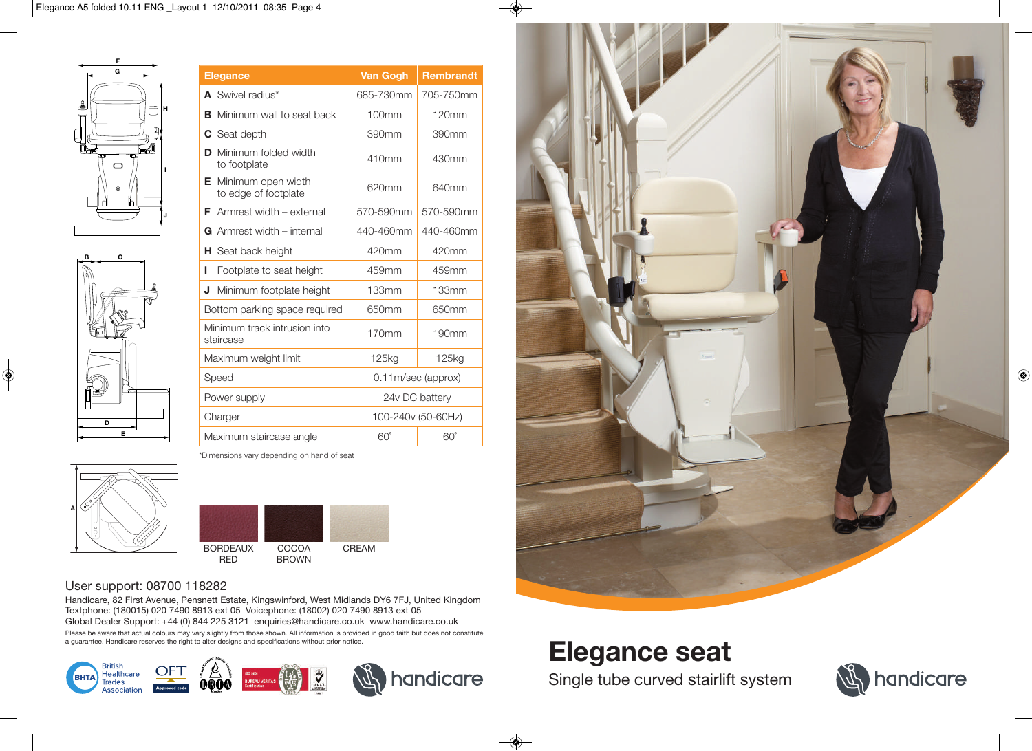



◈

| <b>Elegance</b>                                 | <b>Van Gogh</b>       | <b>Rembrandt</b>  |
|-------------------------------------------------|-----------------------|-------------------|
| A Swivel radius*                                | 685-730mm             | 705-750mm         |
| Minimum wall to seat back<br>в                  | 100mm                 | 120mm             |
| <b>C</b> Seat depth                             | 390mm                 | 390mm             |
| Minimum folded width<br>D<br>to footplate       | 410mm                 | 430mm             |
| Minimum open width<br>Е<br>to edge of footplate | 620mm                 | 640mm             |
| Armrest width - external<br>F                   | 570-590mm             | 570-590mm         |
| <b>G</b> Armrest width $-$ internal             | 440-460mm             | 440-460mm         |
| <b>H</b> Seat back height                       | 420mm                 | 420mm             |
| L<br>Footplate to seat height                   | 459mm                 | 459mm             |
| J<br>Minimum footplate height                   | 133mm                 | 133mm             |
| Bottom parking space required                   | 650mm                 | 650mm             |
| Minimum track intrusion into<br>staircase       | 170mm                 | 190 <sub>mm</sub> |
| Maximum weight limit                            | 125kg                 | 125kg             |
| Speed                                           | $0.11$ m/sec (approx) |                   |
| Power supply                                    | 24y DC battery        |                   |
| Charger                                         | 100-240v (50-60Hz)    |                   |
| Maximum staircase angle                         | $60^\circ$            | $60^{\circ}$      |

\*Dimensions vary depending on hand of seat





### User support: 08700 118282

Handicare, 82 First Avenue, Pensnett Estate, Kingswinford, West Midlands DY6 7FJ, United Kingdom Textphone: (180015) 020 7490 8913 ext 05 Voicephone: (18002) 020 7490 8913 ext 05 Global Dealer Support: +44 (0) 844 225 3121 enquiries@handicare.co.uk www.handicare.co.uk Please be aware that actual colours may vary slightly from those shown. All information is provided in good faith but does not constitute<br>a guarantee. Handicare reserves the right to alter designs and specifications withou





# **Elegance seat**

Single tube curved stairlift system